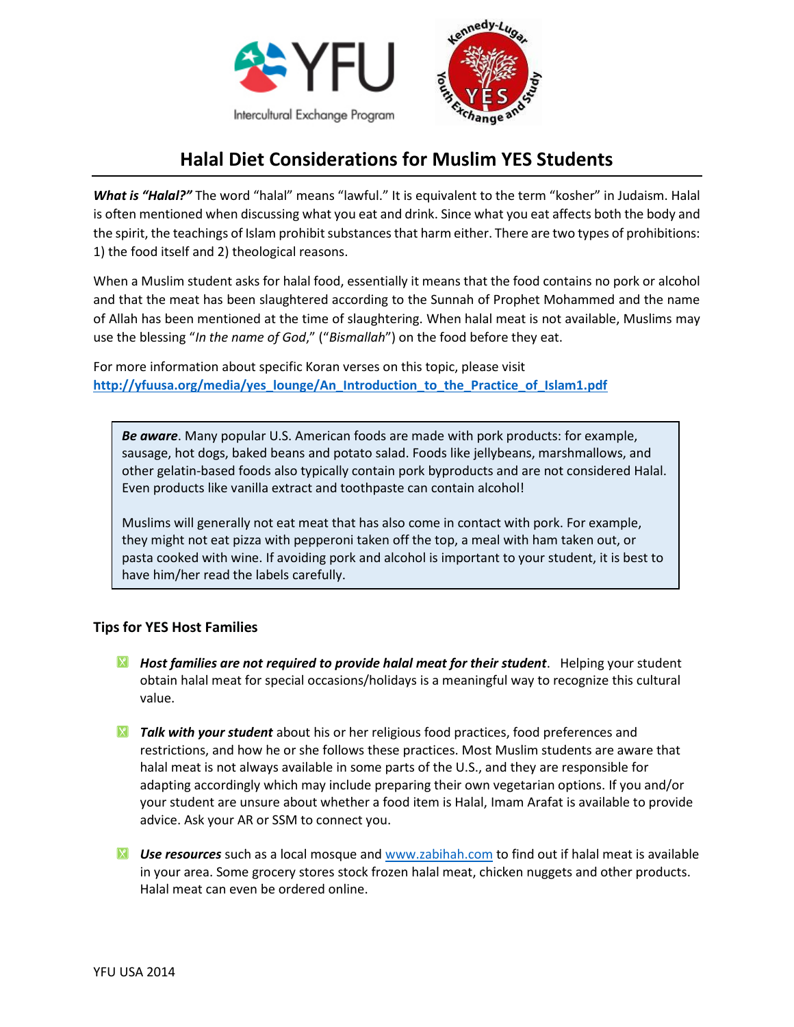



## **Halal Diet Considerations for Muslim YES Students**

*What is "Halal?"* The word "halal" means "lawful." It is equivalent to the term "kosher" in Judaism. Halal is often mentioned when discussing what you eat and drink. Since what you eat affects both the body and the spirit, the teachings of Islam prohibit substances that harm either. There are two types of prohibitions: 1) the food itself and 2) theological reasons.

When a Muslim student asks for halal food, essentially it means that the food contains no pork or alcohol and that the meat has been slaughtered according to the Sunnah of Prophet Mohammed and the name of Allah has been mentioned at the time of slaughtering. When halal meat is not available, Muslims may use the blessing "*In the name of God*," ("*Bismallah*") on the food before they eat.

For more information about specific Koran verses on this topic, please visit [http://yfuusa.org/media/yes\\_lounge/An\\_Introduction\\_to\\_the\\_Practice\\_of\\_Islam1.pdf](http://yfuusa.org/media/yes_lounge/An_Introduction_to_the_Practice_of_Islam1.pdf)

*Be aware*. Many popular U.S. American foods are made with pork products: for example, sausage, hot dogs, baked beans and potato salad. Foods like jellybeans, marshmallows, and other gelatin-based foods also typically contain pork byproducts and are not considered Halal. Even products like vanilla extract and toothpaste can contain alcohol!

Muslims will generally not eat meat that has also come in contact with pork. For example, they might not eat pizza with pepperoni taken off the top, a meal with ham taken out, or pasta cooked with wine. If avoiding pork and alcohol is important to your student, it is best to have him/her read the labels carefully.

## **Tips for YES Host Families**

- *Host families are not required to provide halal meat for their student*. Helping your student obtain halal meat for special occasions/holidays is a meaningful way to recognize this cultural value.
- *X* Talk with your student about his or her religious food practices, food preferences and restrictions, and how he or she follows these practices. Most Muslim students are aware that halal meat is not always available in some parts of the U.S., and they are responsible for adapting accordingly which may include preparing their own vegetarian options. If you and/or your student are unsure about whether a food item is Halal, Imam Arafat is available to provide advice. Ask your AR or SSM to connect you.
- *Use resources* such as a local mosque and [www.zabihah.com](http://www.zabihah.com/) to find out if halal meat is available in your area. Some grocery stores stock frozen halal meat, chicken nuggets and other products. Halal meat can even be ordered online.